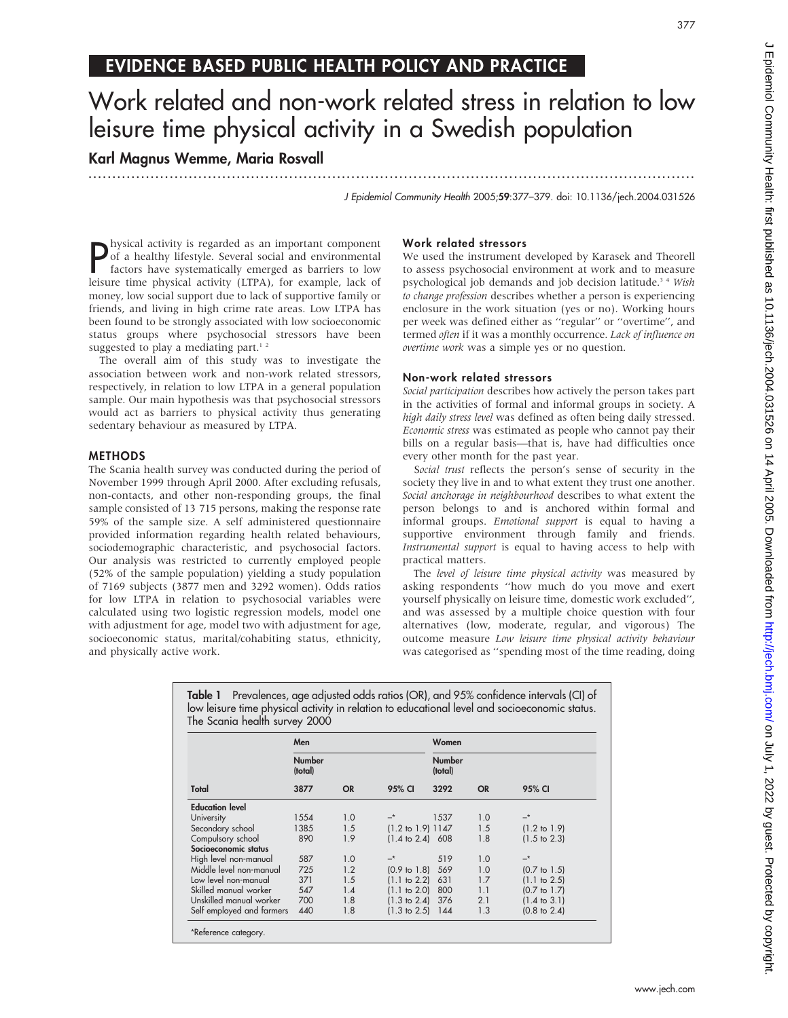# EVIDENCE BASED PUBLIC HEALTH POLICY AND PRACTICE

# Work related and non-work related stress in relation to low leisure time physical activity in a Swedish population

Karl Magnus Wemme, Maria Rosvall

...............................................................................................................................

J Epidemiol Community Health 2005;59:377–379. doi: 10.1136/jech.2004.031526

**P** hysical activity is regarded as an important component<br>of a healthy lifestyle. Several social and environmental<br>factors have systematically emerged as barriers to low<br>laisure time physical activity. (TBA), for example of a healthy lifestyle. Several social and environmental factors have systematically emerged as barriers to low leisure time physical activity (LTPA), for example, lack of money, low social support due to lack of supportive family or friends, and living in high crime rate areas. Low LTPA has been found to be strongly associated with low socioeconomic status groups where psychosocial stressors have been suggested to play a mediating part. $12$ 

The overall aim of this study was to investigate the association between work and non-work related stressors, respectively, in relation to low LTPA in a general population sample. Our main hypothesis was that psychosocial stressors would act as barriers to physical activity thus generating sedentary behaviour as measured by LTPA.

## **METHODS**

The Scania health survey was conducted during the period of November 1999 through April 2000. After excluding refusals, non-contacts, and other non-responding groups, the final sample consisted of 13 715 persons, making the response rate 59% of the sample size. A self administered questionnaire provided information regarding health related behaviours, sociodemographic characteristic, and psychosocial factors. Our analysis was restricted to currently employed people (52% of the sample population) yielding a study population of 7169 subjects (3877 men and 3292 women). Odds ratios for low LTPA in relation to psychosocial variables were calculated using two logistic regression models, model one with adjustment for age, model two with adjustment for age, socioeconomic status, marital/cohabiting status, ethnicity, and physically active work.

# Work related stressors

We used the instrument developed by Karasek and Theorell to assess psychosocial environment at work and to measure psychological job demands and job decision latitude.<sup>34</sup> Wish to change profession describes whether a person is experiencing enclosure in the work situation (yes or no). Working hours per week was defined either as ''regular'' or ''overtime'', and termed often if it was a monthly occurrence. Lack of influence on overtime work was a simple yes or no question.

## Non-work related stressors

Social participation describes how actively the person takes part in the activities of formal and informal groups in society. A high daily stress level was defined as often being daily stressed. Economic stress was estimated as people who cannot pay their bills on a regular basis—that is, have had difficulties once every other month for the past year.

Social trust reflects the person's sense of security in the society they live in and to what extent they trust one another. Social anchorage in neighbourhood describes to what extent the person belongs to and is anchored within formal and informal groups. Emotional support is equal to having a supportive environment through family and friends. Instrumental support is equal to having access to help with practical matters.

The level of leisure time physical activity was measured by asking respondents ''how much do you move and exert yourself physically on leisure time, domestic work excluded'', and was assessed by a multiple choice question with four alternatives (low, moderate, regular, and vigorous) The outcome measure Low leisure time physical activity behaviour was categorised as ''spending most of the time reading, doing

Table 1 Prevalences, age adjusted odds ratios (OR), and 95% confidence intervals (CI) of low leisure time physical activity in relation to educational level and socioeconomic status. The Scania health survey 2000

|                           | Men               |           |                              | Women                    |           |                         |
|---------------------------|-------------------|-----------|------------------------------|--------------------------|-----------|-------------------------|
|                           | Number<br>(total) |           |                              | <b>Number</b><br>(total) |           |                         |
| Total                     | 3877              | <b>OR</b> | 95% CI                       | 3292                     | <b>OR</b> | 95% CI                  |
| <b>Education level</b>    |                   |           |                              |                          |           |                         |
| University                | 1554              | 1.0       |                              | 1537                     | 1.0       | $-^*$                   |
| Secondary school          | 1385              | 1.5       | $(1.2 \text{ to } 1.9)$ 1147 |                          | 1.5       | $(1.2 \text{ to } 1.9)$ |
| Compulsory school         | 890               | 1.9       | $(1.4 \text{ to } 2.4)$ 608  |                          | 1.8       | $(1.5 \text{ to } 2.3)$ |
| Socioeconomic status      |                   |           |                              |                          |           |                         |
| High level non-manual     | 587               | 1.0       | $-^{\star}$                  | 519                      | 1.0       | $-*$                    |
| Middle level non-manual   | 725               | 1.2       | $(0.9 \text{ to } 1.8)$      | 569                      | 1.0       | $(0.7 \text{ to } 1.5)$ |
| Low level non-manual      | 371               | 1.5       | $(1.1 \text{ to } 2.2)$      | 631                      | 1.7       | $(1.1 \text{ to } 2.5)$ |
| Skilled manual worker     | 547               | 1.4       | $(1.1 \text{ to } 2.0)$      | 800                      | 1.1       | $(0.7 \text{ to } 1.7)$ |
| Unskilled manual worker   | 700               | 1.8       | $(1.3 \text{ to } 2.4)$      | 376                      | 2.1       | $(1.4 \text{ to } 3.1)$ |
| Self employed and farmers | 440               | 1.8       | $(1.3 \text{ to } 2.5)$      | 144                      | 1.3       | $(0.8 \text{ to } 2.4)$ |

J Epidemiol Community Health: first published as 10.1136/jech.2004.031526 on 14 April 2005. Downloaded from http://jech.bmj.com/ on July 1, 2022 by guest. Protected by copyright Dinight. Protected by guest. Protected by Guest. Publishight. Disclusion of the Health protect from the high  $\sim$  1, 2020 on Term the Health published as 10.1136/jech. Dinight. Published as 10.1136/jech. Dinight. Dinight.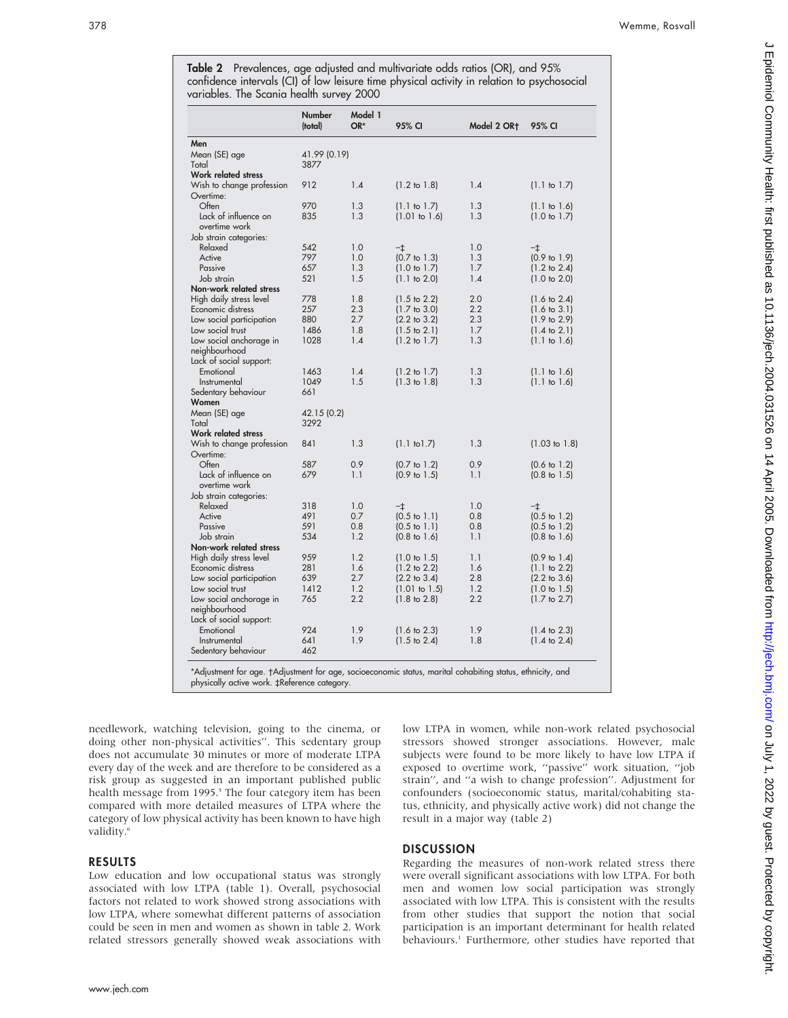Table 2 Prevalences, age adjusted and multivariate odds ratios (OR), and 95% confidence intervals (CI) of low leisure time physical activity in relation to psychosocial variables. The Scania health survey 2000

|                                                                                                           | Number<br>(total) | Model 1<br>OR* | 95% CI                          | Model 2 OR <sub>T</sub> | 95% CI                   |
|-----------------------------------------------------------------------------------------------------------|-------------------|----------------|---------------------------------|-------------------------|--------------------------|
| Men                                                                                                       |                   |                |                                 |                         |                          |
| Mean (SE) age                                                                                             | 41.99 (0.19)      |                |                                 |                         |                          |
| Total                                                                                                     | 3877              |                |                                 |                         |                          |
| Work related stress                                                                                       |                   |                |                                 |                         |                          |
| Wish to change profession                                                                                 | 912               | 1.4            | $(1.2 \text{ to } 1.8)$         | 1.4                     | $(1.1 \text{ to } 1.7)$  |
| Overtime:                                                                                                 |                   |                |                                 |                         |                          |
| Often                                                                                                     | 970               | 1.3            | (1.1 to 1.7)                    | 1.3                     | $(1.1 \text{ to } 1.6)$  |
| Lack of influence on                                                                                      | 835               | 1.3            | (1.01 to 1.6)                   | 1.3                     | $(1.0 \text{ to } 1.7)$  |
| overtime work                                                                                             |                   |                |                                 |                         |                          |
|                                                                                                           |                   |                |                                 |                         |                          |
| Job strain categories:                                                                                    | 542               | 1.0            |                                 |                         |                          |
| Relaxed<br>Active                                                                                         | 797               | 1.0            | $-1$<br>$(0.7 \text{ to } 1.3)$ | 1.0<br>1.3              | $-\ddagger$              |
|                                                                                                           |                   | 1.3            |                                 | 1.7                     | $(0.9 \text{ to } 1.9)$  |
| Passive                                                                                                   | 657               |                | (1.0 to 1.7)                    |                         | $(1.2 \text{ to } 2.4)$  |
| Job strain                                                                                                | 521               | 1.5            | $(1.1 \text{ to } 2.0)$         | 1.4                     | $(1.0 \text{ to } 2.0)$  |
| Non-work related stress                                                                                   |                   |                |                                 |                         |                          |
| High daily stress level                                                                                   | 778               | 1.8            | $(1.5 \text{ to } 2.2)$         | 2.0                     | $(1.6 \text{ to } 2.4)$  |
| Economic distress                                                                                         | 257               | 2.3            | $(1.7 \text{ to } 3.0)$         | 2.2                     | $(1.6 \text{ to } 3.1)$  |
| Low social participation                                                                                  | 880               | 2.7            | $(2.2 \text{ to } 3.2)$         | 2.3                     | $(1.9 \text{ to } 2.9)$  |
| Low social trust                                                                                          | 1486              | 1.8            | $(1.5 \text{ to } 2.1)$         | 1.7                     | $(1.4 \text{ to } 2.1)$  |
| Low social anchorage in                                                                                   | 1028              | 1.4            | $(1.2 \text{ to } 1.7)$         | 1.3                     | $(1.1 \text{ to } 1.6)$  |
| neighbourhood                                                                                             |                   |                |                                 |                         |                          |
| Lack of social support:                                                                                   |                   |                |                                 |                         |                          |
| Emotional                                                                                                 | 1463              | 1.4            | $(1.2 \text{ to } 1.7)$         | 1.3                     | $(1.1 \text{ to } 1.6)$  |
| Instrumental                                                                                              | 1049              | 1.5            | $(1.3 \text{ to } 1.8)$         | 1.3                     | $(1.1 \text{ to } 1.6)$  |
| Sedentary behaviour                                                                                       | 661               |                |                                 |                         |                          |
| Women                                                                                                     |                   |                |                                 |                         |                          |
| Mean (SE) age                                                                                             | 42.15 (0.2)       |                |                                 |                         |                          |
| Total                                                                                                     | 3292              |                |                                 |                         |                          |
| Work related stress                                                                                       |                   |                |                                 |                         |                          |
| Wish to change profession                                                                                 | 841               | 1.3            | $(1.1$ to $1.7)$                | 1.3                     | $(1.03 \text{ to } 1.8)$ |
| Overtime:                                                                                                 |                   |                |                                 |                         |                          |
| Often                                                                                                     | 587               | 0.9            | $(0.7 \text{ to } 1.2)$         | 0.9                     | $(0.6 \text{ to } 1.2)$  |
| Lack of influence on                                                                                      | 679               | 1.1            | $(0.9 \text{ to } 1.5)$         | 1.1                     | $(0.8 \text{ to } 1.5)$  |
| overtime work                                                                                             |                   |                |                                 |                         |                          |
| Job strain categories:                                                                                    |                   |                |                                 |                         |                          |
| Relaxed                                                                                                   | 318               | 1.0            | $-\pm$                          | 1.0                     | $-\pm$                   |
| Active                                                                                                    | 491               | 0.7            | $(0.5 \text{ to } 1.1)$         | 0.8                     | $(0.5 \text{ to } 1.2)$  |
| Passive                                                                                                   | 591               | 0.8            | $(0.5 \text{ to } 1.1)$         | 0.8                     | $(0.5 \text{ to } 1.2)$  |
| Job strain                                                                                                | 534               | 1.2            | $(0.8 \text{ to } 1.6)$         | 1.1                     | $(0.8 \text{ to } 1.6)$  |
| Non-work related stress                                                                                   |                   |                |                                 |                         |                          |
| High daily stress level                                                                                   | 959               | 1.2            | $(1.0 \text{ to } 1.5)$         | 1.1                     | $(0.9 \text{ to } 1.4)$  |
| Economic distress                                                                                         | 281               | 1.6            | $(1.2 \text{ to } 2.2)$         | 1.6                     | $(1.1 \text{ to } 2.2)$  |
| Low social participation                                                                                  | 639               | 2.7            | $(2.2 \text{ to } 3.4)$         | 2.8                     | $(2.2 \text{ to } 3.6)$  |
|                                                                                                           | 1412              | 1.2            |                                 | 1.2                     | $(1.0 \text{ to } 1.5)$  |
| Low social trust                                                                                          | 765               | 2.2            | (1.01 to 1.5)                   | 2.2                     |                          |
| Low social anchorage in                                                                                   |                   |                | $(1.8 \text{ to } 2.8)$         |                         | $(1.7 \text{ to } 2.7)$  |
| neighbourhood                                                                                             |                   |                |                                 |                         |                          |
| Lack of social support:                                                                                   |                   |                |                                 |                         |                          |
| Emotional                                                                                                 | 924               | 1.9            | $(1.6 \text{ to } 2.3)$         | 1.9                     | $(1.4 \text{ to } 2.3)$  |
| Instrumental                                                                                              | 641               | 1.9            | $(1.5 \text{ to } 2.4)$         | 1.8                     | $(1.4 \text{ to } 2.4)$  |
| Sedentary behaviour                                                                                       | 462               |                |                                 |                         |                          |
| *Adjustment for age. †Adjustment for age, socioeconomic status, marital cohabiting status, ethnicity, and |                   |                |                                 |                         |                          |
| physically active work. ‡Reference category.                                                              |                   |                |                                 |                         |                          |

needlework, watching television, going to the cinema, or doing other non-physical activities''. This sedentary group does not accumulate 30 minutes or more of moderate LTPA every day of the week and are therefore to be considered as a risk group as suggested in an important published public health message from 1995.<sup>5</sup> The four category item has been compared with more detailed measures of LTPA where the category of low physical activity has been known to have high validity.<sup>6</sup>

#### RESULTS

Low education and low occupational status was strongly associated with low LTPA (table 1). Overall, psychosocial factors not related to work showed strong associations with low LTPA, where somewhat different patterns of association could be seen in men and women as shown in table 2. Work related stressors generally showed weak associations with low LTPA in women, while non-work related psychosocial stressors showed stronger associations. However, male subjects were found to be more likely to have low LTPA if exposed to overtime work, ''passive'' work situation, ''job strain'', and ''a wish to change profession''. Adjustment for confounders (socioeconomic status, marital/cohabiting status, ethnicity, and physically active work) did not change the result in a major way (table 2)

## **DISCUSSION**

Regarding the measures of non-work related stress there were overall significant associations with low LTPA. For both men and women low social participation was strongly associated with low LTPA. This is consistent with the results from other studies that support the notion that social participation is an important determinant for health related behaviours.<sup>1</sup> Furthermore, other studies have reported that